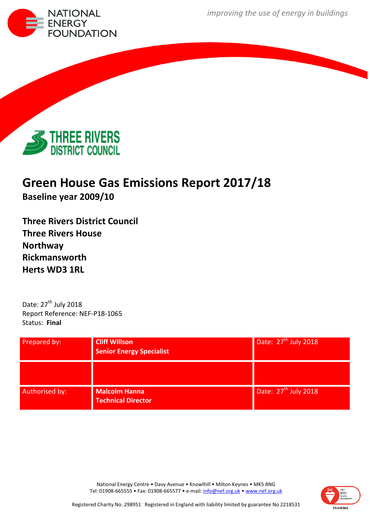*improving the use of energy in buildings*





# **Green House Gas Emissions Report 2017/18**

**Baseline year 2009/10**

**Three Rivers District Council Three Rivers House Northway Rickmansworth Herts WD3 1RL**

Date: 27<sup>th</sup> July 2018 Report Reference: NEF-P18-1065 Status: **Final**

| Prepared by:   | <b>Cliff Willson</b><br><b>Senior Energy Specialist</b> | Date: $27th$ July 2018 |  |  |  |
|----------------|---------------------------------------------------------|------------------------|--|--|--|
|                |                                                         |                        |  |  |  |
| Authorised by: | <b>Malcolm Hanna</b><br><b>Technical Director</b>       | Date: $27th$ July 2018 |  |  |  |

National Energy Centre • Davy Avenue • Knowlhill • Milton Keynes • MK5 8NG Tel: 01908-665555 • Fax: 01908-665577 • e-mail: [info@nef.org.uk](mailto:info@nef.org.uk) • [www.nef.org.uk](http://www.nef.org.uk/)

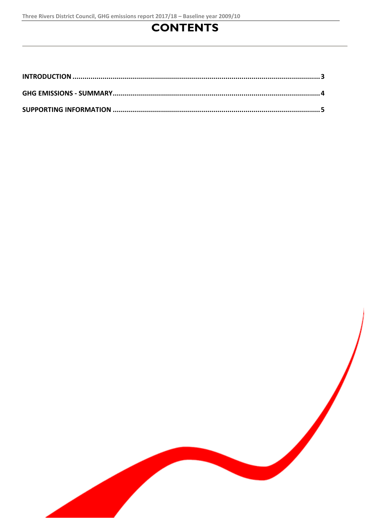# **CONTENTS**

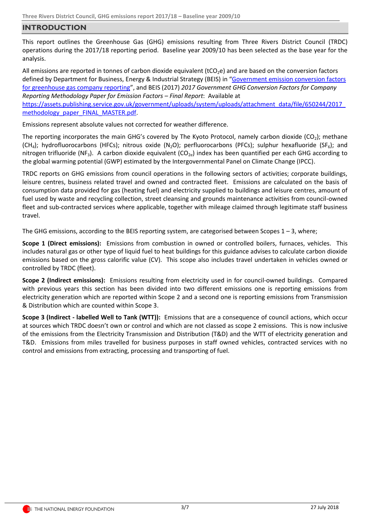### <span id="page-2-0"></span>**INTRODUCTION**

This report outlines the Greenhouse Gas (GHG) emissions resulting from Three Rivers District Council (TRDC) operations during the 2017/18 reporting period. Baseline year 2009/10 has been selected as the base year for the analysis.

All emissions are reported in tonnes of carbon dioxide equivalent (tCO<sub>2</sub>e) and are based on the conversion factors defined by Department for Business, Energy & Industrial Strategy (BEIS) in "Government emission conversion factors [for greenhouse gas company reporting](https://www.gov.uk/government/collections/government-conversion-factors-for-company-reporting)", and BEIS (2017) *2017 Government GHG Conversion Factors for Company Reporting Methodology Paper for Emission Factors – Final Report*: Available at

[https://assets.publishing.service.gov.uk/government/uploads/system/uploads/attachment\\_data/file/650244/2017\\_](https://assets.publishing.service.gov.uk/government/uploads/system/uploads/attachment_data/file/650244/2017_methodology_paper_FINAL_MASTER.pdf) [methodology\\_paper\\_FINAL\\_MASTER.pdf.](https://assets.publishing.service.gov.uk/government/uploads/system/uploads/attachment_data/file/650244/2017_methodology_paper_FINAL_MASTER.pdf)

Emissions represent absolute values not corrected for weather difference.

The reporting incorporates the main GHG's covered by The Kyoto Protocol, namely carbon dioxide ( $CO<sub>2</sub>$ ); methane  $(CH_4)$ ; hydrofluorocarbons (HFCs); nitrous oxide (N<sub>2</sub>O); perfluorocarbons (PFCs); sulphur hexafluoride (SF<sub>6</sub>); and nitrogen trifluoride (NF<sub>3</sub>). A carbon dioxide equivalent (CO<sub>2e</sub>) index has been quantified per each GHG according to the global warming potential (GWP) estimated by the Intergovernmental Panel on Climate Change (IPCC).

TRDC reports on GHG emissions from council operations in the following sectors of activities; corporate buildings, leisure centres, business related travel and owned and contracted fleet. Emissions are calculated on the basis of consumption data provided for gas (heating fuel) and electricity supplied to buildings and leisure centres, amount of fuel used by waste and recycling collection, street cleansing and grounds maintenance activities from council-owned fleet and sub-contracted services where applicable, together with mileage claimed through legitimate staff business travel.

The GHG emissions, according to the BEIS reporting system, are categorised between Scopes  $1 - 3$ , where;

**Scope 1 (Direct emissions):** Emissions from combustion in owned or controlled boilers, furnaces, vehicles. This includes natural gas or other type of liquid fuel to heat buildings for this guidance advises to calculate carbon dioxide emissions based on the gross calorific value (CV). This scope also includes travel undertaken in vehicles owned or controlled by TRDC (fleet).

**Scope 2 (Indirect emissions):** Emissions resulting from electricity used in for council-owned buildings. Compared with previous years this section has been divided into two different emissions one is reporting emissions from electricity generation which are reported within Scope 2 and a second one is reporting emissions from Transmission & Distribution which are counted within Scope 3.

**Scope 3 (Indirect - labelled Well to Tank (WTT)):** Emissions that are a consequence of council actions, which occur at sources which TRDC doesn't own or control and which are not classed as scope 2 emissions. This is now inclusive of the emissions from the Electricity Transmission and Distribution (T&D) and the WTT of electricity generation and T&D. Emissions from miles travelled for business purposes in staff owned vehicles, contracted services with no control and emissions from extracting, processing and transporting of fuel.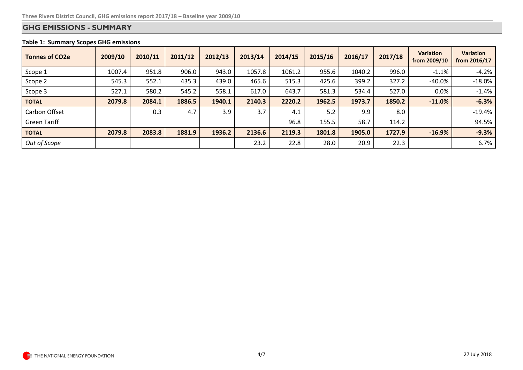## **GHG EMISSIONS - SUMMARY**

#### **Table 1: Summary Scopes GHG emissions**

<span id="page-3-0"></span>

| <b>Tonnes of CO2e</b> | 2009/10 | 2010/11 | 2011/12 | 2012/13 | 2013/14 | 2014/15 | 2015/16 | 2016/17 | 2017/18 | <b>Variation</b><br>from 2009/10 | <b>Variation</b><br>from 2016/17 |
|-----------------------|---------|---------|---------|---------|---------|---------|---------|---------|---------|----------------------------------|----------------------------------|
| Scope 1               | 1007.4  | 951.8   | 906.0   | 943.0   | 1057.8  | 1061.2  | 955.6   | 1040.2  | 996.0   | $-1.1%$                          | $-4.2%$                          |
| Scope 2               | 545.3   | 552.1   | 435.3   | 439.0   | 465.6   | 515.3   | 425.6   | 399.2   | 327.2   | $-40.0%$                         | $-18.0%$                         |
| Scope 3               | 527.1   | 580.2   | 545.2   | 558.1   | 617.0   | 643.7   | 581.3   | 534.4   | 527.0   | 0.0%                             | $-1.4%$                          |
| <b>TOTAL</b>          | 2079.8  | 2084.1  | 1886.5  | 1940.1  | 2140.3  | 2220.2  | 1962.5  | 1973.7  | 1850.2  | $-11.0%$                         | $-6.3%$                          |
| Carbon Offset         |         | 0.3     | 4.7     | 3.9     | 3.7     | 4.1     | 5.2     | 9.9     | 8.0     |                                  | $-19.4%$                         |
| <b>Green Tariff</b>   |         |         |         |         |         | 96.8    | 155.5   | 58.7    | 114.2   |                                  | 94.5%                            |
| <b>TOTAL</b>          | 2079.8  | 2083.8  | 1881.9  | 1936.2  | 2136.6  | 2119.3  | 1801.8  | 1905.0  | 1727.9  | $-16.9%$                         | $-9.3%$                          |
| Out of Scope          |         |         |         |         | 23.2    | 22.8    | 28.0    | 20.9    | 22.3    |                                  | 6.7%                             |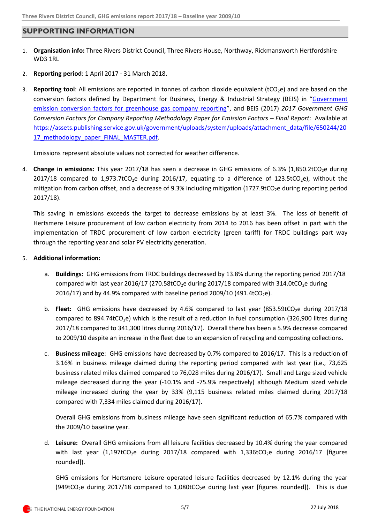### <span id="page-4-0"></span>**SUPPORTING INFORMATION**

- 1. **Organisation info:** Three Rivers District Council, Three Rivers House, Northway, Rickmansworth Hertfordshire WD3 1RL
- 2. **Reporting period**: 1 April 2017 31 March 2018.
- 3. **Reporting tool**: All emissions are reported in tonnes of carbon dioxide equivalent (tCO<sub>2</sub>e) and are based on the conversion factors defined by Department for Business, Energy & Industrial Strategy (BEIS) in "[Government](https://www.gov.uk/government/collections/government-conversion-factors-for-company-reporting)  [emission conversion factors for greenhouse gas company reporting](https://www.gov.uk/government/collections/government-conversion-factors-for-company-reporting)", and BEIS (2017) *2017 Government GHG Conversion Factors for Company Reporting Methodology Paper for Emission Factors – Final Report*: Available at [https://assets.publishing.service.gov.uk/government/uploads/system/uploads/attachment\\_data/file/650244/20](https://assets.publishing.service.gov.uk/government/uploads/system/uploads/attachment_data/file/650244/2017_methodology_paper_FINAL_MASTER.pdf) [17\\_methodology\\_paper\\_FINAL\\_MASTER.pdf.](https://assets.publishing.service.gov.uk/government/uploads/system/uploads/attachment_data/file/650244/2017_methodology_paper_FINAL_MASTER.pdf)

Emissions represent absolute values not corrected for weather difference.

4. **Change in emissions:** This year 2017/18 has seen a decrease in GHG emissions of 6.3% (1,850.2tCO<sub>2</sub>e during 2017/18 compared to 1,973.7tCO<sub>2</sub>e during 2016/17, equating to a difference of 123.5tCO<sub>2</sub>e), without the mitigation from carbon offset, and a decrease of 9.3% including mitigation (1727.9tCO<sub>2</sub>e during reporting period 2017/18).

This saving in emissions exceeds the target to decrease emissions by at least 3%. The loss of benefit of Hertsmere Leisure procurement of low carbon electricity from 2014 to 2016 has been offset in part with the implementation of TRDC procurement of low carbon electricity (green tariff) for TRDC buildings part way through the reporting year and solar PV electricity generation.

#### 5. **Additional information:**

- a. **Buildings:** GHG emissions from TRDC buildings decreased by 13.8% during the reporting period 2017/18 compared with last year 2016/17 (270.58tCO<sub>2</sub>e during 2017/18 compared with 314.0tCO<sub>2</sub>e during 2016/17) and by 44.9% compared with baseline period 2009/10 (491.4tCO<sub>2</sub>e).
- b. **Fleet:** GHG emissions have decreased by 4.6% compared to last year (853.59tCO<sub>2</sub>e during 2017/18 compared to 894.74tCO<sub>2</sub>e) which is the result of a reduction in fuel consumption (326,900 litres during 2017/18 compared to 341,300 litres during 2016/17). Overall there has been a 5.9% decrease compared to 2009/10 despite an increase in the fleet due to an expansion of recycling and composting collections.
- c. **Business mileage**: GHG emissions have decreased by 0.7% compared to 2016/17. This is a reduction of 3.16% in business mileage claimed during the reporting period compared with last year (i.e., 73,625 business related miles claimed compared to 76,028 miles during 2016/17). Small and Large sized vehicle mileage decreased during the year (-10.1% and -75.9% respectively) although Medium sized vehicle mileage increased during the year by 33% (9,115 business related miles claimed during 2017/18 compared with 7,334 miles claimed during 2016/17).

Overall GHG emissions from business mileage have seen significant reduction of 65.7% compared with the 2009/10 baseline year.

d. **Leisure:** Overall GHG emissions from all leisure facilities decreased by 10.4% during the year compared with last year (1,197tCO<sub>2</sub>e during 2017/18 compared with 1,336tCO<sub>2</sub>e during 2016/17 [figures rounded]).

GHG emissions for Hertsmere Leisure operated leisure facilities decreased by 12.1% during the year (949tCO<sub>2</sub>e during 2017/18 compared to 1,080tCO<sub>2</sub>e during last year [figures rounded]). This is due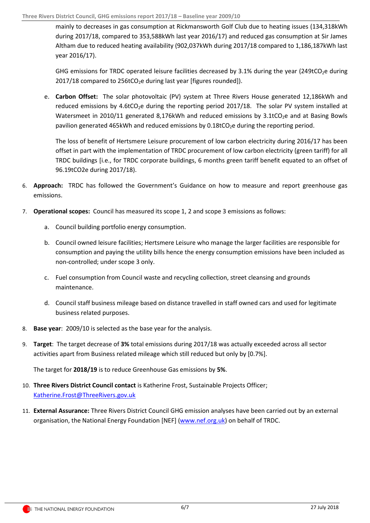mainly to decreases in gas consumption at Rickmansworth Golf Club due to heating issues (134,318kWh during 2017/18, compared to 353,588kWh last year 2016/17) and reduced gas consumption at Sir James Altham due to reduced heating availability (902,037kWh during 2017/18 compared to 1,186,187kWh last year 2016/17).

GHG emissions for TRDC operated leisure facilities decreased by 3.1% during the year (249tCO<sub>2</sub>e during  $2017/18$  compared to  $256$ tCO<sub>2</sub>e during last year [figures rounded]).

e. **Carbon Offset:** The solar photovoltaic (PV) system at Three Rivers House generated 12,186kWh and reduced emissions by 4.6tCO<sub>2</sub>e during the reporting period 2017/18. The solar PV system installed at Watersmeet in 2010/11 generated 8,176kWh and reduced emissions by  $3.1$ tCO<sub>2</sub>e and at Basing Bowls pavilion generated 465kWh and reduced emissions by  $0.18$ tCO<sub>2</sub>e during the reporting period.

The loss of benefit of Hertsmere Leisure procurement of low carbon electricity during 2016/17 has been offset in part with the implementation of TRDC procurement of low carbon electricity (green tariff) for all TRDC buildings [i.e., for TRDC corporate buildings, 6 months green tariff benefit equated to an offset of 96.19tCO2e during 2017/18).

- 6. **Approach:** TRDC has followed the Government's Guidance on how to measure and report greenhouse gas emissions.
- 7. **Operational scopes:** Council has measured its scope 1, 2 and scope 3 emissions as follows:
	- a. Council building portfolio energy consumption.
	- b. Council owned leisure facilities; Hertsmere Leisure who manage the larger facilities are responsible for consumption and paying the utility bills hence the energy consumption emissions have been included as non-controlled; under scope 3 only.
	- c. Fuel consumption from Council waste and recycling collection, street cleansing and grounds maintenance.
	- d. Council staff business mileage based on distance travelled in staff owned cars and used for legitimate business related purposes.
- 8. **Base year**: 2009/10 is selected as the base year for the analysis.
- 9. **Target**: The target decrease of **3%** total emissions during 2017/18 was actually exceeded across all sector activities apart from Business related mileage which still reduced but only by [0.7%].

The target for **2018/19** is to reduce Greenhouse Gas emissions by **5%**.

- 10. **Three Rivers District Council contact** is Katherine Frost, Sustainable Projects Officer; [Katherine.Frost@ThreeRivers.gov.uk](mailto:Katherine.Frost@ThreeRivers.gov.uk)
- 11. **External Assurance:** Three Rivers District Council GHG emission analyses have been carried out by an external organisation, the National Energy Foundation [NEF] [\(www.nef.org.uk\)](http://www.nef.org.uk/) on behalf of TRDC.